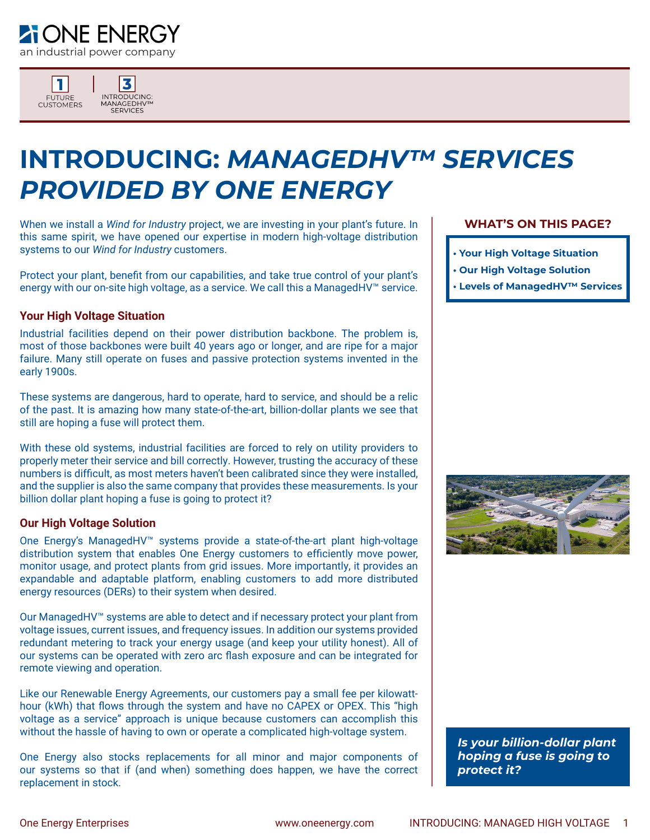



# **INTRODUCING:** *MANAGEDHV™ SERVICES PROVIDED BY ONE ENERGY*

When we install a *Wind for Industry* project, we are investing in your plant's future. In this same spirit, we have opened our expertise in modern high-voltage distribution systems to our *Wind for Industry* customers.

Protect your plant, benefit from our capabilities, and take true control of your plant's energy with our on-site high voltage, as a service. We call this a ManagedHV™ service.

#### **Your High Voltage Situation**

Industrial facilities depend on their power distribution backbone. The problem is, most of those backbones were built 40 years ago or longer, and are ripe for a major failure. Many still operate on fuses and passive protection systems invented in the early 1900s.

These systems are dangerous, hard to operate, hard to service, and should be a relic of the past. It is amazing how many state-of-the-art, billion-dollar plants we see that still are hoping a fuse will protect them.

With these old systems, industrial facilities are forced to rely on utility providers to properly meter their service and bill correctly. However, trusting the accuracy of these numbers is difficult, as most meters haven't been calibrated since they were installed, and the supplier is also the same company that provides these measurements. Is your billion dollar plant hoping a fuse is going to protect it?

#### **Our High Voltage Solution**

One Energy's ManagedHV™ systems provide a state-of-the-art plant high-voltage distribution system that enables One Energy customers to efficiently move power, monitor usage, and protect plants from grid issues. More importantly, it provides an expandable and adaptable platform, enabling customers to add more distributed energy resources (DERs) to their system when desired.

Our ManagedHV™ systems are able to detect and if necessary protect your plant from voltage issues, current issues, and frequency issues. In addition our systems provided redundant metering to track your energy usage (and keep your utility honest). All of our systems can be operated with zero arc flash exposure and can be integrated for remote viewing and operation.

Like our Renewable Energy Agreements, our customers pay a small fee per kilowatthour (kWh) that flows through the system and have no CAPEX or OPEX. This "high voltage as a service" approach is unique because customers can accomplish this without the hassle of having to own or operate a complicated high-voltage system.

One Energy also stocks replacements for all minor and major components of our systems so that if (and when) something does happen, we have the correct replacement in stock.

#### **WHAT'S ON THIS PAGE?**

- **Your High Voltage Situation**
- **Our High Voltage Solution**
- **Levels of ManagedHV™ Services**



*Is your billion-dollar plant hoping a fuse is going to protect it?*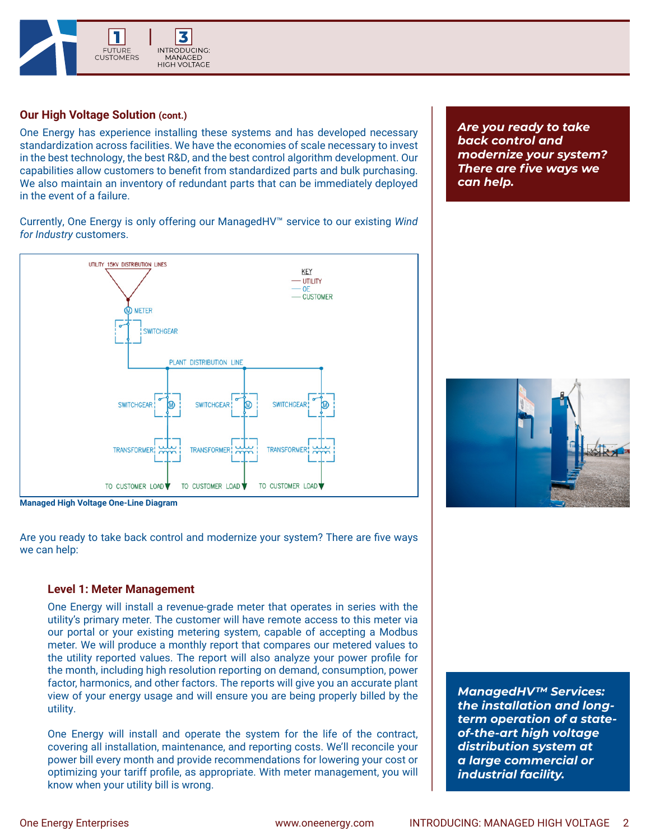

## **Our High Voltage Solution (cont.)**

One Energy has experience installing these systems and has developed necessary standardization across facilities. We have the economies of scale necessary to invest in the best technology, the best R&D, and the best control algorithm development. Our capabilities allow customers to benefit from standardized parts and bulk purchasing. We also maintain an inventory of redundant parts that can be immediately deployed in the event of a failure.

Currently, One Energy is only offering our ManagedHV™ service to our existing *Wind for Industry* customers.



**Managed High Voltage One-Line Diagram**

Are you ready to take back control and modernize your system? There are five ways we can help:

#### **Level 1: Meter Management**

One Energy will install a revenue-grade meter that operates in series with the utility's primary meter. The customer will have remote access to this meter via our portal or your existing metering system, capable of accepting a Modbus meter. We will produce a monthly report that compares our metered values to the utility reported values. The report will also analyze your power profile for the month, including high resolution reporting on demand, consumption, power factor, harmonics, and other factors. The reports will give you an accurate plant view of your energy usage and will ensure you are being properly billed by the utility.

One Energy will install and operate the system for the life of the contract, covering all installation, maintenance, and reporting costs. We'll reconcile your power bill every month and provide recommendations for lowering your cost or optimizing your tariff profile, as appropriate. With meter management, you will know when your utility bill is wrong.

*ManagedHV™ Services: the installation and longterm operation of a stateof-the-art high voltage distribution system at a large commercial or industrial facility.*

*Are you ready to take back control and modernize your system? There are five ways we can help.*